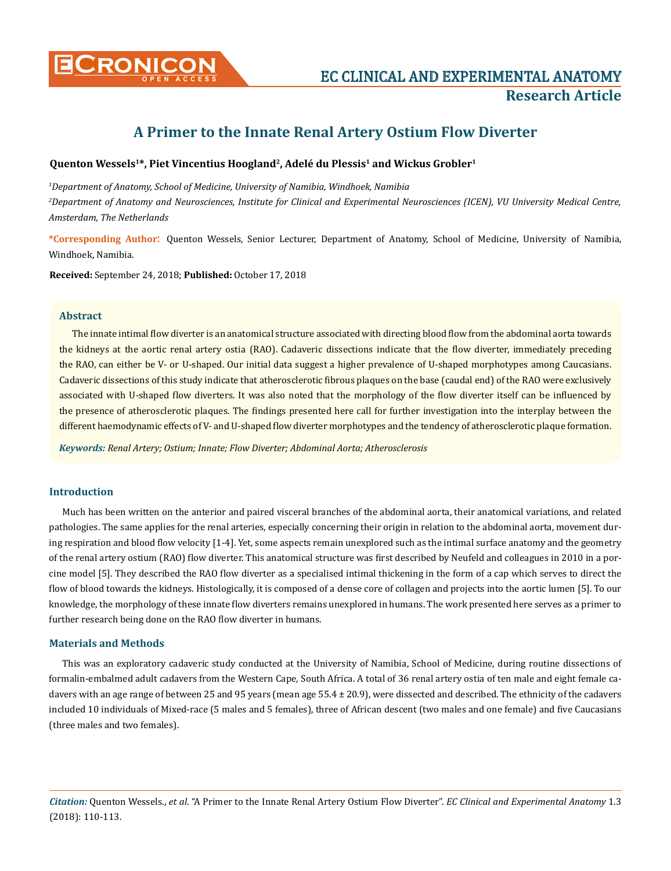

# **A Primer to the Innate Renal Artery Ostium Flow Diverter**

## Quenton Wessels<sup>1\*</sup>, Piet Vincentius Hoogland<sup>2</sup>, Adelé du Plessis<sup>1</sup> and Wickus Grobler<sup>1</sup>

*1 Department of Anatomy, School of Medicine, University of Namibia, Windhoek, Namibia 2 Department of Anatomy and Neurosciences, Institute for Clinical and Experimental Neurosciences (ICEN), VU University Medical Centre, Amsterdam, The Netherlands*

**\*Corresponding Author**: Quenton Wessels, Senior Lecturer, Department of Anatomy, School of Medicine, University of Namibia, Windhoek, Namibia.

**Received:** September 24, 2018; **Published:** October 17, 2018

#### **Abstract**

The innate intimal flow diverter is an anatomical structure associated with directing blood flow from the abdominal aorta towards the kidneys at the aortic renal artery ostia (RAO). Cadaveric dissections indicate that the flow diverter, immediately preceding the RAO, can either be V- or U-shaped. Our initial data suggest a higher prevalence of U-shaped morphotypes among Caucasians. Cadaveric dissections of this study indicate that atherosclerotic fibrous plaques on the base (caudal end) of the RAO were exclusively associated with U-shaped flow diverters. It was also noted that the morphology of the flow diverter itself can be influenced by the presence of atherosclerotic plaques. The findings presented here call for further investigation into the interplay between the different haemodynamic effects of V- and U-shaped flow diverter morphotypes and the tendency of atherosclerotic plaque formation.

*Keywords: Renal Artery; Ostium; Innate; Flow Diverter; Abdominal Aorta; Atherosclerosis* 

## **Introduction**

Much has been written on the anterior and paired visceral branches of the abdominal aorta, their anatomical variations, and related pathologies. The same applies for the renal arteries, especially concerning their origin in relation to the abdominal aorta, movement during respiration and blood flow velocity [1-4]. Yet, some aspects remain unexplored such as the intimal surface anatomy and the geometry of the renal artery ostium (RAO) flow diverter. This anatomical structure was first described by Neufeld and colleagues in 2010 in a porcine model [5]. They described the RAO flow diverter as a specialised intimal thickening in the form of a cap which serves to direct the flow of blood towards the kidneys. Histologically, it is composed of a dense core of collagen and projects into the aortic lumen [5]. To our knowledge, the morphology of these innate flow diverters remains unexplored in humans. The work presented here serves as a primer to further research being done on the RAO flow diverter in humans.

### **Materials and Methods**

This was an exploratory cadaveric study conducted at the University of Namibia, School of Medicine, during routine dissections of formalin-embalmed adult cadavers from the Western Cape, South Africa. A total of 36 renal artery ostia of ten male and eight female cadavers with an age range of between 25 and 95 years (mean age 55.4 ± 20.9), were dissected and described. The ethnicity of the cadavers included 10 individuals of Mixed-race (5 males and 5 females), three of African descent (two males and one female) and five Caucasians (three males and two females).

*Citation:* Quenton Wessels., *et al*. "A Primer to the Innate Renal Artery Ostium Flow Diverter". *EC Clinical and Experimental Anatomy* 1.3 (2018): 110-113.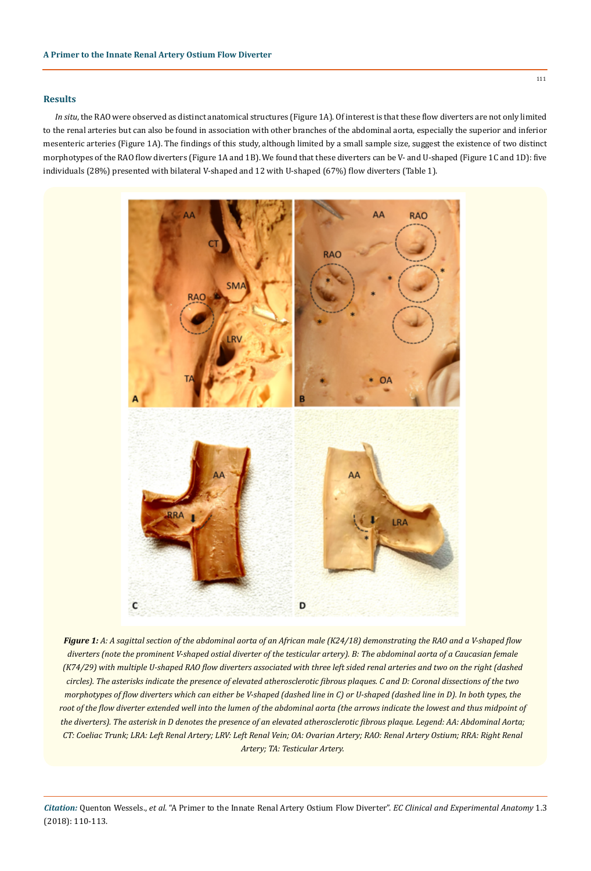### **Results**

*In situ*, the RAO were observed as distinct anatomical structures (Figure 1A). Of interest is that these flow diverters are not only limited to the renal arteries but can also be found in association with other branches of the abdominal aorta, especially the superior and inferior mesenteric arteries (Figure 1A). The findings of this study, although limited by a small sample size, suggest the existence of two distinct morphotypes of the RAO flow diverters (Figure 1A and 1B). We found that these diverters can be V- and U-shaped (Figure 1C and 1D): five individuals (28%) presented with bilateral V-shaped and 12 with U-shaped (67%) flow diverters (Table 1).



*Figure 1: A: A sagittal section of the abdominal aorta of an African male (K24/18) demonstrating the RAO and a V-shaped flow diverters (note the prominent V-shaped ostial diverter of the testicular artery). B: The abdominal aorta of a Caucasian female (K74/29) with multiple U-shaped RAO flow diverters associated with three left sided renal arteries and two on the right (dashed circles). The asterisks indicate the presence of elevated atherosclerotic fibrous plaques. C and D: Coronal dissections of the two morphotypes of flow diverters which can either be V-shaped (dashed line in C) or U-shaped (dashed line in D). In both types, the* root of the flow diverter extended well into the lumen of the abdominal aorta (the arrows indicate the lowest and thus midpoint of *the diverters). The asterisk in D denotes the presence of an elevated atherosclerotic fibrous plaque. Legend: AA: Abdominal Aorta; CT: Coeliac Trunk; LRA: Left Renal Artery; LRV: Left Renal Vein; OA: Ovarian Artery; RAO: Renal Artery Ostium; RRA: Right Renal Artery; TA: Testicular Artery.*

*Citation:* Quenton Wessels., *et al*. "A Primer to the Innate Renal Artery Ostium Flow Diverter". *EC Clinical and Experimental Anatomy* 1.3 (2018): 110-113.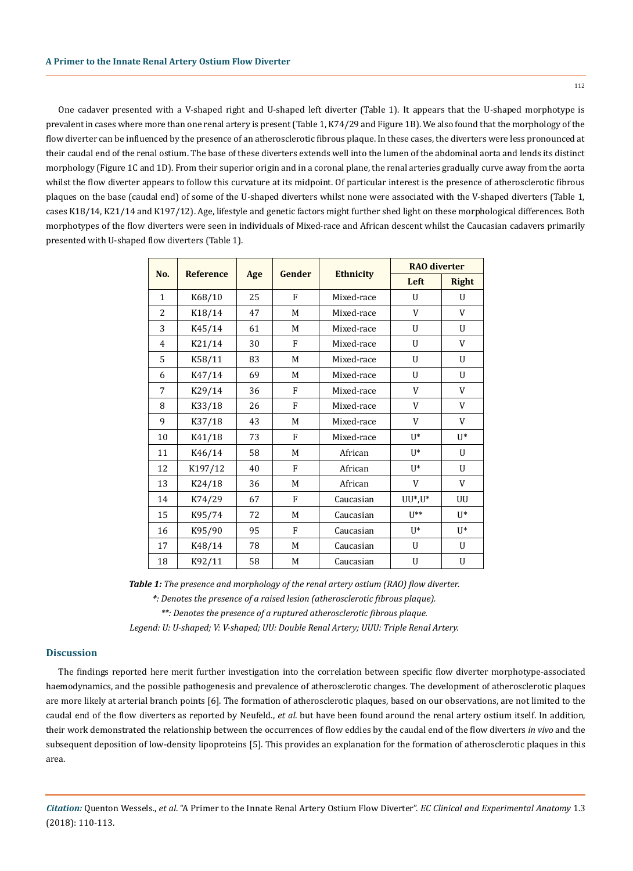One cadaver presented with a V-shaped right and U-shaped left diverter (Table 1). It appears that the U-shaped morphotype is prevalent in cases where more than one renal artery is present (Table 1, K74/29 and Figure 1B). We also found that the morphology of the flow diverter can be influenced by the presence of an atherosclerotic fibrous plaque. In these cases, the diverters were less pronounced at their caudal end of the renal ostium. The base of these diverters extends well into the lumen of the abdominal aorta and lends its distinct morphology (Figure 1C and 1D). From their superior origin and in a coronal plane, the renal arteries gradually curve away from the aorta whilst the flow diverter appears to follow this curvature at its midpoint. Of particular interest is the presence of atherosclerotic fibrous plaques on the base (caudal end) of some of the U-shaped diverters whilst none were associated with the V-shaped diverters (Table 1, cases K18/14, K21/14 and K197/12). Age, lifestyle and genetic factors might further shed light on these morphological differences. Both morphotypes of the flow diverters were seen in individuals of Mixed-race and African descent whilst the Caucasian cadavers primarily presented with U-shaped flow diverters (Table 1).

| No.            | <b>Reference</b> | Age | Gender         | <b>Ethnicity</b> | <b>RAO</b> diverter |                |
|----------------|------------------|-----|----------------|------------------|---------------------|----------------|
|                |                  |     |                |                  | Left                | <b>Right</b>   |
| $\mathbf{1}$   | K68/10           | 25  | F              | Mixed-race       | U                   | U              |
| 2              | K18/14           | 47  | M              | Mixed-race       | V                   | V              |
| 3              | K45/14           | 61  | M              | Mixed-race       | $\mathbf{U}$        | U              |
| $\overline{4}$ | K21/14           | 30  | F              | Mixed-race       | U                   | V              |
| 5              | K58/11           | 83  | M              | Mixed-race       | $\mathbf{U}$        | U              |
| 6              | K47/14           | 69  | М              | Mixed-race       | $\mathbf{U}$        | U              |
| 7              | K29/14           | 36  | F              | Mixed-race       | V                   | V              |
| 8              | K33/18           | 26  | F              | Mixed-race       | V                   | V              |
| 9              | K37/18           | 43  | M              | Mixed-race       | V                   | V              |
| 10             | K41/18           | 73  | $\overline{F}$ | Mixed-race       | $U^*$               | $\mathbf{U}^*$ |
| 11             | K46/14           | 58  | M              | African          | $U^*$               | U              |
| 12             | K197/12          | 40  | F              | African          | $II^*$              | U              |
| 13             | K24/18           | 36  | M              | African          | V                   | V              |
| 14             | K74/29           | 67  | F              | Caucasian        | $UU^*$ , $U^*$      | UU             |
| 15             | K95/74           | 72  | M              | Caucasian        | $U^{**}$            | $U^*$          |
| 16             | K95/90           | 95  | F              | Caucasian        | $II^*$              | $U^*$          |
| 17             | K48/14           | 78  | M              | Caucasian        | U                   | U              |
| 18             | K92/11           | 58  | M              | Caucasian        | U                   | U              |

*Table 1: The presence and morphology of the renal artery ostium (RAO) flow diverter.* 

*\*: Denotes the presence of a raised lesion (atherosclerotic fibrous plaque).*

*\*\*: Denotes the presence of a ruptured atherosclerotic fibrous plaque.*

*Legend: U: U-shaped; V: V-shaped; UU: Double Renal Artery; UUU: Triple Renal Artery.*

## **Discussion**

The findings reported here merit further investigation into the correlation between specific flow diverter morphotype-associated haemodynamics, and the possible pathogenesis and prevalence of atherosclerotic changes. The development of atherosclerotic plaques are more likely at arterial branch points [6]. The formation of atherosclerotic plaques, based on our observations, are not limited to the caudal end of the flow diverters as reported by Neufeld., *et al.* but have been found around the renal artery ostium itself. In addition, their work demonstrated the relationship between the occurrences of flow eddies by the caudal end of the flow diverters *in vivo* and the subsequent deposition of low-density lipoproteins [5]. This provides an explanation for the formation of atherosclerotic plaques in this area.

*Citation:* Quenton Wessels., *et al*. "A Primer to the Innate Renal Artery Ostium Flow Diverter". *EC Clinical and Experimental Anatomy* 1.3 (2018): 110-113.